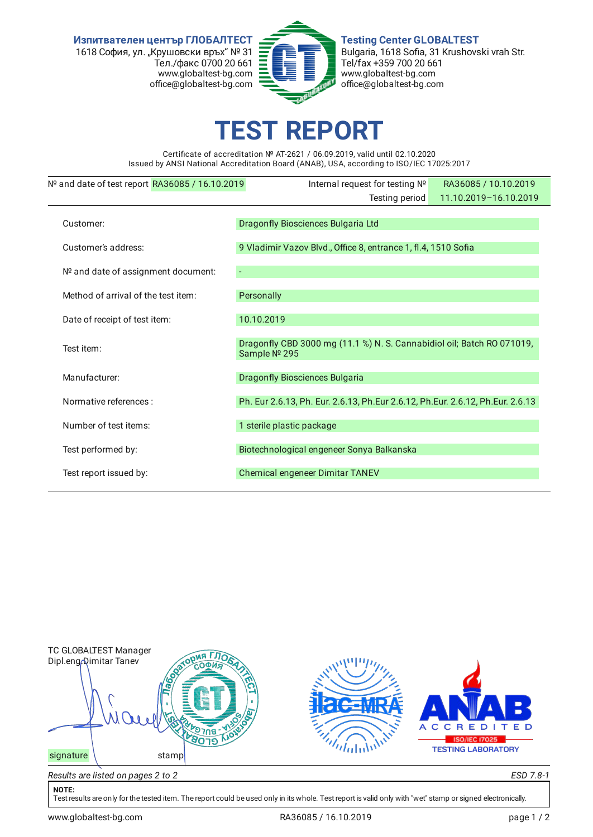**Изпитвателен център ГЛОБАЛТЕСТ** 1618 София, ул. "Крушовски връх" № 31 Тел./факс 0700 20 661 www.globaltest-bg.com office@globaltest-bg.com



**Testing Center GLOBALTEST** Bulgaria, 1618 Sofia, 31 Krushovski vrah Str. Tel/fax +359 700 20 661 www.globaltest-bg.com office@globaltest-bg.com

## **EST REPO**

Certificate of accreditation № AT-2621 / 06.09.2019, valid until 02.10.2020 Issued by ANSI National Accreditation Board (ANAB), USA, according to ISO/IEC 17025:2017

| Nº and date of test report RA36085 / 16.10.2019 | Internal request for testing Nº                                                        | RA36085 / 10.10.2019  |
|-------------------------------------------------|----------------------------------------------------------------------------------------|-----------------------|
|                                                 | Testing period                                                                         | 11.10.2019-16.10.2019 |
| Customer:                                       | Dragonfly Biosciences Bulgaria Ltd                                                     |                       |
| Customer's address:                             | 9 Vladimir Vazov Blvd., Office 8, entrance 1, fl.4, 1510 Sofia                         |                       |
|                                                 |                                                                                        |                       |
| Nº and date of assignment document:             |                                                                                        |                       |
| Method of arrival of the test item:             | Personally                                                                             |                       |
| Date of receipt of test item:                   | 10.10.2019                                                                             |                       |
| Test item:                                      | Dragonfly CBD 3000 mg (11.1 %) N. S. Cannabidiol oil; Batch RO 071019,<br>Sample № 295 |                       |
| Manufacturer:                                   | <b>Dragonfly Biosciences Bulgaria</b>                                                  |                       |
| Normative references :                          | Ph. Eur 2.6.13, Ph. Eur. 2.6.13, Ph.Eur 2.6.12, Ph.Eur. 2.6.12, Ph.Eur. 2.6.13         |                       |
| Number of test items:                           | 1 sterile plastic package                                                              |                       |
| Test performed by:                              | Biotechnological engeneer Sonya Balkanska                                              |                       |
| Test report issued by:                          | Chemical engeneer Dimitar TANEV                                                        |                       |
|                                                 |                                                                                        |                       |



## **NOTE:**

Test results are only for the tested item. The report could be used only in its whole. Test report is valid only with "wet" stamp or signed electronically.